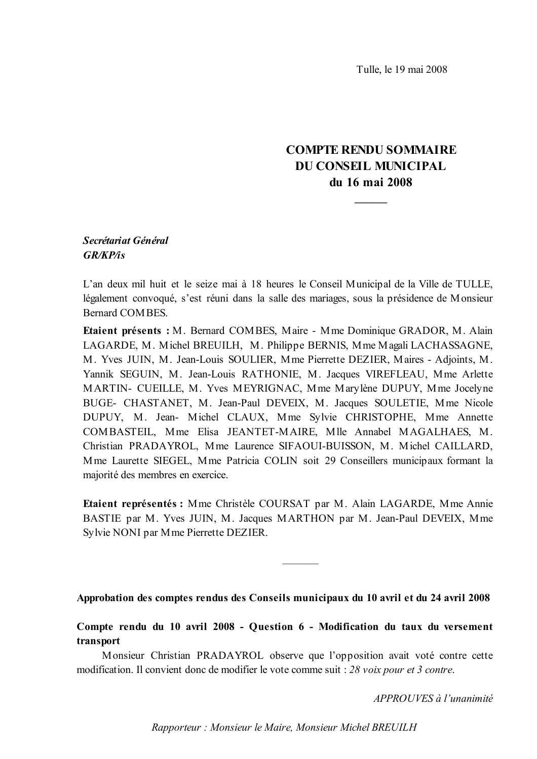Tulle, le 19 mai 2008

# **COMPTE RENDU SOMMAIRE DU CONSEIL MUNICIPAL** du 16 mai 2008

# Secrétariat Général **GR/KP/is**

L'an deux mil huit et le seize mai à 18 heures le Conseil Municipal de la Ville de TULLE. légalement convoqué, s'est réuni dans la salle des mariages, sous la présidence de Monsieur Bernard COMBES.

Etaient présents : M. Bernard COMBES, Maire - Mme Dominique GRADOR, M. Alain LAGARDE, M. Michel BREUILH, M. Philippe BERNIS, Mme Magali LACHASSAGNE, M. Yves JUIN, M. Jean-Louis SOULIER, Mme Pierrette DEZIER, Maires - Adjoints, M. Yannik SEGUIN, M. Jean-Louis RATHONIE, M. Jacques VIREFLEAU, Mme Arlette MARTIN- CUEILLE, M. Yves MEYRIGNAC, Mme Marylène DUPUY, Mme Jocelyne BUGE- CHASTANET, M. Jean-Paul DEVEIX, M. Jacques SOULETIE, Mme Nicole DUPUY, M. Jean- Michel CLAUX, Mme Sylvie CHRISTOPHE, Mme Annette COMBASTEIL, Mme Elisa JEANTET-MAIRE, Mlle Annabel MAGALHAES, M. Christian PRADAYROL, Mme Laurence SIFAOUI-BUISSON, M. Michel CAILLARD, Mme Laurette SIEGEL, Mme Patricia COLIN soit 29 Conseillers municipaux formant la majorité des membres en exercice.

Etaient représentés : Mme Christèle COURSAT par M. Alain LAGARDE, Mme Annie BASTIE par M. Yves JUIN, M. Jacques MARTHON par M. Jean-Paul DEVEIX, Mme Sylvie NONI par Mme Pierrette DEZIER.

## Approbation des comptes rendus des Conseils municipaux du 10 avril et du 24 avril 2008

Compte rendu du 10 avril 2008 - Question 6 - Modification du taux du versement transport

Monsieur Christian PRADAYROL observe que l'opposition avait voté contre cette modification. Il convient donc de modifier le vote comme suit : 28 voix pour et 3 contre.

APPROUVES à l'unanimité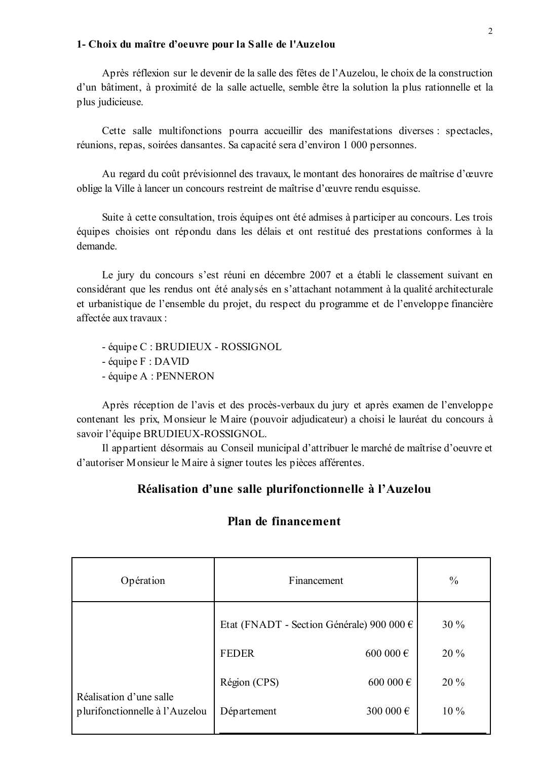### 1- Choix du maître d'oeuvre pour la Salle de l'Auzelou

Après réflexion sur le devenir de la salle des fêtes de l'Auzelou, le choix de la construction d'un bâtiment, à proximité de la salle actuelle, semble être la solution la plus rationnelle et la plus judicieuse.

Cette salle multifonctions pourra accueillir des manifestations diverses : spectacles, réunions, repas, soirées dansantes. Sa capacité sera d'environ 1 000 personnes.

Au regard du coût prévisionnel des travaux, le montant des honoraires de maîtrise d'œuvre oblige la Ville à lancer un concours restreint de maîtrise d'œuvre rendu esquisse.

Suite à cette consultation, trois équipes ont été admises à participer au concours. Les trois équipes choisies ont répondu dans les délais et ont restitué des prestations conformes à la demande

Le jury du concours s'est réuni en décembre 2007 et a établi le classement suivant en considérant que les rendus ont été analysés en s'attachant notamment à la qualité architecturale et urbanistique de l'ensemble du projet, du respect du programme et de l'enveloppe financière affectée aux travaux :

- équipe C : BRUDIEUX ROSSIGNOL
- $-$ équipe  $F : DAVID$
- équipe A : PENNERON

Après réception de l'avis et des procès-verbaux du jury et après examen de l'enveloppe contenant les prix, Monsieur le Maire (pouvoir adjudicateur) a choisi le lauréat du concours à savoir l'équipe BRUDIEUX-ROSSIGNOL.

Il appartient désormais au Conseil municipal d'attribuer le marché de maîtrise d'oeuvre et d'autoriser Monsieur le Maire à signer toutes les pièces afférentes.

## Réalisation d'une salle plurifonctionnelle à l'Auzelou

| Opération                                                 | Financement                               |           | $\frac{0}{0}$ |
|-----------------------------------------------------------|-------------------------------------------|-----------|---------------|
|                                                           | Etat (FNADT - Section Générale) 900 000 € |           | $30\%$        |
|                                                           | <b>FEDER</b>                              | 600 000 € | $20\%$        |
|                                                           | Région (CPS)                              | 600 000 € | $20\%$        |
| Réalisation d'une salle<br>plurifonctionnelle à l'Auzelou | Département                               | 300 000 € | $10\%$        |

### Plan de financement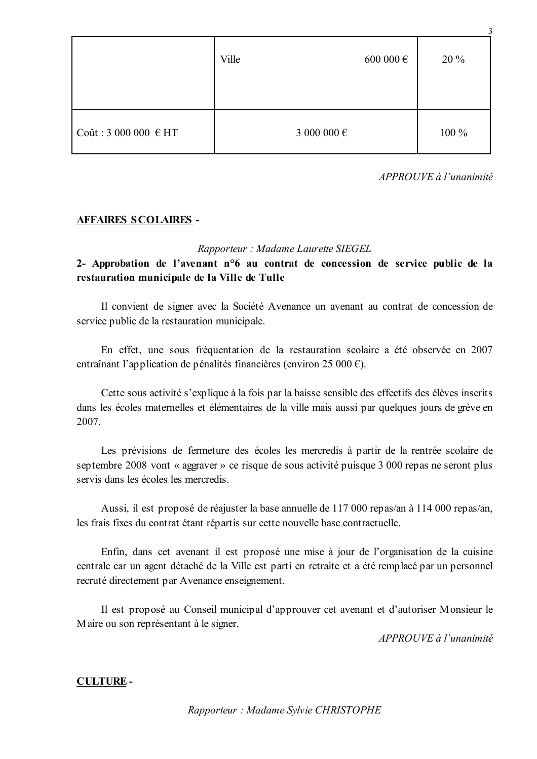|                                 | Ville       | 600 000 € | 3<br>20 % |
|---------------------------------|-------------|-----------|-----------|
| Coût: $3000000 \text{ }\in H$ T | 3 000 000 € |           | 100 %     |

APPROUVE à l'unanimité

### **AFFAIRES SCOLAIRES -**

### Rapporteur: Madame Laurette SIEGEL

2- Approbation de l'avenant n°6 au contrat de concession de service public de la restauration municipale de la Ville de Tulle

Il convient de signer avec la Société Avenance un avenant au contrat de concession de service public de la restauration municipale.

En effet, une sous fréquentation de la restauration scolaire a été observée en 2007 entraînant l'application de pénalités financières (environ 25 000 €).

Cette sous activité s'explique à la fois par la baisse sensible des effectifs des élèves inscrits dans les écoles maternelles et élémentaires de la ville mais aussi par quelques jours de grève en 2007

Les prévisions de fermeture des écoles les mercredis à partir de la rentrée scolaire de septembre 2008 vont « aggraver » ce risque de sous activité puisque 3 000 repas ne seront plus servis dans les écoles les mercredis

Aussi, il est proposé de réajuster la base annuelle de 117 000 repas/an à 114 000 repas/an, les frais fixes du contrat étant répartis sur cette nouvelle base contractuelle.

Enfin, dans cet avenant il est proposé une mise à jour de l'organisation de la cuisine centrale car un agent détaché de la Ville est parti en retraite et a été remplacé par un personnel recruté directement par Avenance enseignement.

Il est proposé au Conseil municipal d'approuver cet avenant et d'autoriser Monsieur le Maire ou son représentant à le signer.

 $APPROUVE$  à l'unanimité

## **CULTURE-**

Rapporteur: Madame Sylvie CHRISTOPHE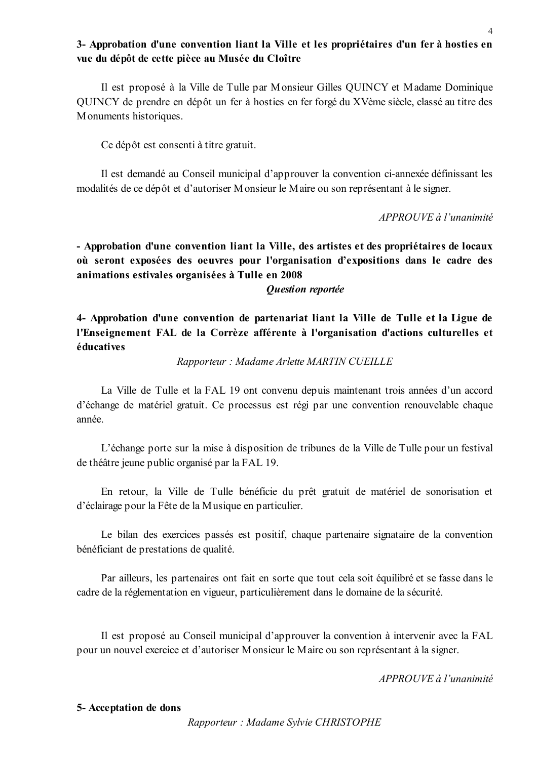# 3- Approbation d'une convention liant la Ville et les propriétaires d'un fer à hosties en vue du dépôt de cette pièce au Musée du Cloître

Il est proposé à la Ville de Tulle par Monsieur Gilles QUINCY et Madame Dominique QUINCY de prendre en dépôt un fer à hosties en fer forgé du XVème siècle, classé au titre des Monuments historiques.

Ce dépôt est consenti à titre gratuit.

Il est demandé au Conseil municipal d'approuver la convention ci-annexée définissant les modalités de ce dépôt et d'autoriser Monsieur le Maire ou son représentant à le signer.

APPROUVE à l'unanimité

- Approbation d'une convention liant la Ville, des artistes et des propriétaires de locaux où seront exposées des oeuvres pour l'organisation d'expositions dans le cadre des animations estivales organisées à Tulle en 2008

#### **Question reportée**

4- Approbation d'une convention de partenariat liant la Ville de Tulle et la Ligue de l'Enseignement FAL de la Corrèze afférente à l'organisation d'actions culturelles et éducatives

Rapporteur: Madame Arlette MARTIN CUEILLE

La Ville de Tulle et la FAL 19 ont convenu depuis maintenant trois années d'un accord d'échange de matériel gratuit. Ce processus est régi par une convention renouvelable chaque année.

L'échange porte sur la mise à disposition de tribunes de la Ville de Tulle pour un festival de théâtre jeune public organisé par la FAL 19.

En retour, la Ville de Tulle bénéficie du prêt gratuit de matériel de sonorisation et d'éclairage pour la Fête de la Musique en particulier.

Le bilan des exercices passés est positif, chaque partenaire signataire de la convention bénéficiant de prestations de qualité.

Par ailleurs, les partenaires ont fait en sorte que tout cela soit équilibré et se fasse dans le cadre de la réglementation en vigueur, particulièrement dans le domaine de la sécurité.

Il est proposé au Conseil municipal d'approuver la convention à intervenir avec la FAL pour un nouvel exercice et d'autoriser Monsieur le Maire ou son représentant à la signer.

APPROUVE à l'unanimité

### 5- Acceptation de dons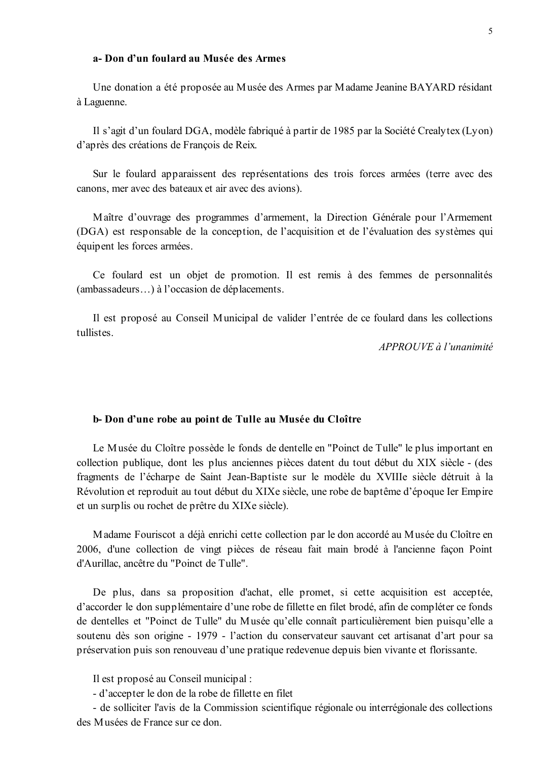#### a-Don d'un foulard au Musée des Armes

Une donation a été proposée au Musée des Armes par Madame Jeanine BAYARD résidant à Laguenne.

Il s'agit d'un foulard DGA, modèle fabriqué à partir de 1985 par la Société Crealytex (Lyon) d'après des créations de François de Reix.

Sur le foulard apparaissent des représentations des trois forces armées (terre avec des canons, mer avec des bateaux et air avec des avions).

Maître d'ouvrage des programmes d'armement, la Direction Générale pour l'Armement (DGA) est responsable de la conception, de l'acquisition et de l'évaluation des systèmes qui équipent les forces armées.

Ce foulard est un objet de promotion. Il est remis à des femmes de personnalités (ambassadeurs...) à l'occasion de déplacements.

Il est proposé au Conseil Municipal de valider l'entrée de ce foulard dans les collections tullistes

APPROUVE à l'unanimité

#### b-Don d'une robe au point de Tulle au Musée du Cloître

Le Musée du Cloître possède le fonds de dentelle en "Poinct de Tulle" le plus important en collection publique, dont les plus anciennes pièces datent du tout début du XIX siècle - (des fragments de l'écharpe de Saint Jean-Baptiste sur le modèle du XVIIIe siècle détruit à la Révolution et reproduit au tout début du XIXe siècle, une robe de baptême d'époque Ier Empire et un surplis ou rochet de prêtre du XIXe siècle).

Madame Fouriscot a déjà enrichi cette collection par le don accordé au Musée du Cloître en 2006, d'une collection de vingt pièces de réseau fait main brodé à l'ancienne façon Point d'Aurillac, ancêtre du "Poinct de Tulle".

De plus, dans sa proposition d'achat, elle promet, si cette acquisition est acceptée, d'accorder le don supplémentaire d'une robe de fillette en filet brodé, afin de compléter ce fonds de dentelles et "Poinct de Tulle" du Musée qu'elle connaît particulièrement bien puisqu'elle a soutenu dès son origine - 1979 - l'action du conservateur sauvant cet artisanat d'art pour sa préservation puis son renouveau d'une pratique redevenue depuis bien vivante et florissante.

Il est proposé au Conseil municipal :

- d'accepter le don de la robe de fillette en filet

- de solliciter l'avis de la Commission scientifique régionale ou interrégionale des collections des Musées de France sur ce don.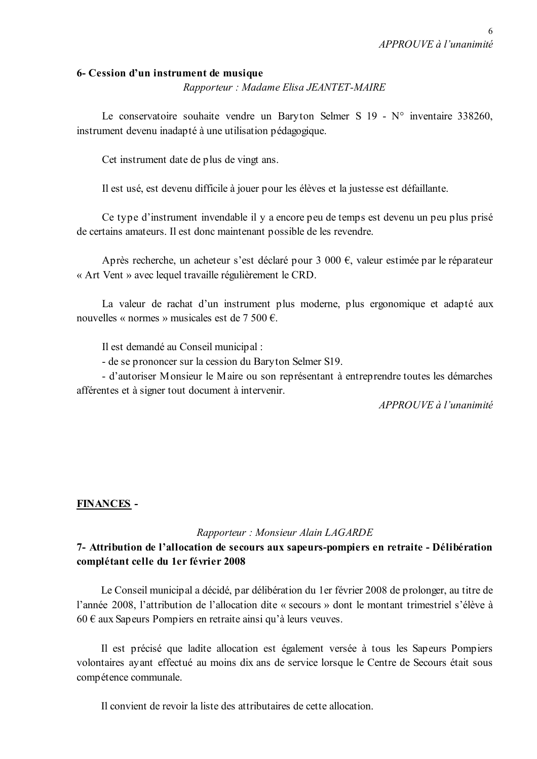### 6- Cession d'un instrument de musique

Rapporteur: Madame Elisa JEANTET-MAIRE

Le conservatoire souhaite vendre un Baryton Selmer S 19 - N° inventaire 338260. instrument devenu inadapté à une utilisation pédagogique.

Cet instrument date de plus de vingt ans.

Il est usé, est devenu difficile à jouer pour les élèves et la justesse est défaillante.

Ce type d'instrument invendable il y a encore peu de temps est devenu un peu plus prisé de certains amateurs. Il est donc maintenant possible de les revendre.

Après recherche, un acheteur s'est déclaré pour 3 000 €, valeur estimée par le réparateur « Art Vent » avec lequel travaille régulièrement le CRD.

La valeur de rachat d'un instrument plus moderne, plus ergonomique et adapté aux nouvelles « normes » musicales est de 7 500 €.

Il est demandé au Conseil municipal :

- de se prononcer sur la cession du Baryton Selmer S19.

- d'autoriser Monsieur le Maire ou son représentant à entreprendre toutes les démarches afférentes et à signer tout document à intervenir.

APPROUVE à l'unanimité

## **FINANCES -**

### Rapporteur: Monsieur Alain LAGARDE

## 7- Attribution de l'allocation de secours aux sapeurs-pompiers en retraite - Délibération complétant celle du 1er février 2008

Le Conseil municipal a décidé, par délibération du 1er février 2008 de prolonger, au titre de l'année 2008, l'attribution de l'allocation dite « secours » dont le montant trimestriel s'élève à  $60 \in \alpha$  aux Sapeurs Pompiers en retraite ainsi qu'à leurs veuves.

Il est précisé que ladite allocation est également versée à tous les Sapeurs Pompiers volontaires ayant effectué au moins dix ans de service lorsque le Centre de Secours était sous compétence communale.

Il convient de revoir la liste des attributaires de cette allocation.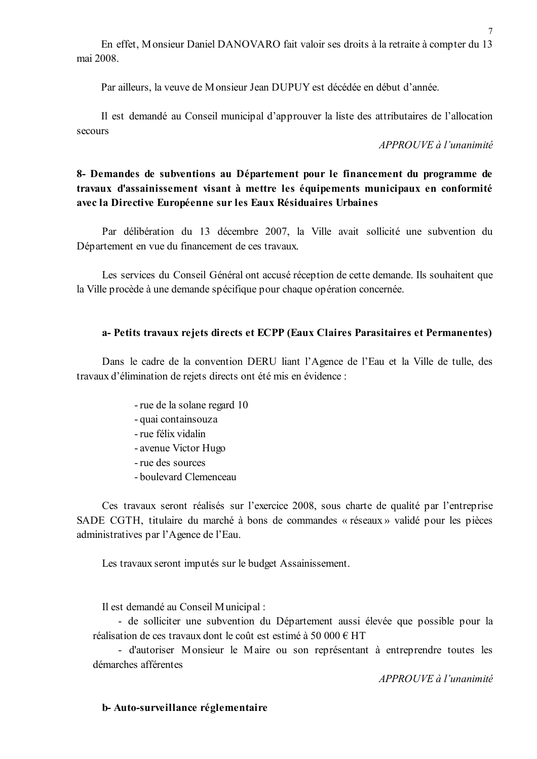Par ailleurs, la veuve de Monsieur Jean DUPUY est décédée en début d'année.

Il est demandé au Conseil municipal d'approuver la liste des attributaires de l'allocation secours

APPROUVE à l'unanimité

 $\overline{7}$ 

# 8- Demandes de subventions au Département pour le financement du programme de travaux d'assainissement visant à mettre les équipements municipaux en conformité avec la Directive Européenne sur les Eaux Résiduaires Urbaines

Par délibération du 13 décembre 2007, la Ville avait sollicité une subvention du Département en vue du financement de ces travaux.

Les services du Conseil Général ont accusé réception de cette demande. Ils souhaitent que la Ville procède à une demande spécifique pour chaque opération concernée.

# a- Petits travaux rejets directs et ECPP (Eaux Claires Parasitaires et Permanentes)

Dans le cadre de la convention DERU liant l'Agence de l'Eau et la Ville de tulle, des travaux d'élimination de rejets directs ont été mis en évidence :

- rue de la solane regard 10
- quai containsouza
- rue félix vidalin
- avenue Victor Hugo
- rue des sources
- boulevard Clemenceau

Ces travaux seront réalisés sur l'exercice 2008, sous charte de qualité par l'entreprise SADE CGTH, titulaire du marché à bons de commandes « réseaux » validé pour les pièces administratives par l'Agence de l'Eau.

Les travaux seront imputés sur le budget Assainissement.

Il est demandé au Conseil Municipal :

- de solliciter une subvention du Département aussi élevée que possible pour la réalisation de ces travaux dont le coût est estimé à 50 000 € HT

- d'autoriser Monsieur le Maire ou son représentant à entreprendre toutes les démarches afférentes

 $APPROUVE$  à l'unanimité

## b-Auto-surveillance réglementaire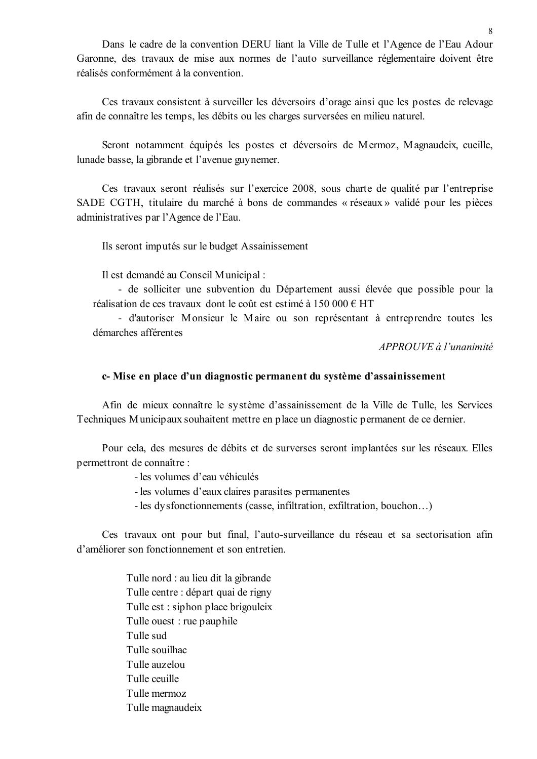Dans le cadre de la convention DERU liant la Ville de Tulle et l'Agence de l'Eau Adour Garonne, des travaux de mise aux normes de l'auto surveillance réglementaire doivent être réalisés conformément à la convention

Ces travaux consistent à surveiller les déversoirs d'orage ainsi que les postes de relevage afin de connaître les temps, les débits ou les charges surversées en milieu naturel.

Seront notamment équipés les postes et déversoirs de Mermoz, Magnaudeix, cueille, lunade basse, la gibrande et l'avenue guynemer.

Ces travaux seront réalisés sur l'exercice 2008, sous charte de qualité par l'entreprise SADE CGTH, titulaire du marché à bons de commandes « réseaux » validé pour les pièces administratives par l'Agence de l'Eau.

Ils seront imputés sur le budget Assainissement

Il est demandé au Conseil Municipal :

- de solliciter une subvention du Département aussi élevée que possible pour la réalisation de ces travaux dont le coût est estimé à 150 000  $\epsilon$  HT

- d'autoriser Monsieur le Maire ou son représentant à entreprendre toutes les démarches afférentes

 $APPROUVE \d{d} l'unanimit \d{e}$ 

#### c-Mise en place d'un diagnostic permanent du système d'assainissement

Afin de mieux connaître le système d'assainissement de la Ville de Tulle, les Services Techniques Municipaux souhaitent mettre en place un diagnostic permanent de ce dernier.

Pour cela, des mesures de débits et de surverses seront implantées sur les réseaux. Elles permettront de connaître :

- les volumes d'eau véhiculés
- les volumes d'eaux claires parasites permanentes
- les dysfonctionnements (casse, infiltration, exfiltration, bouchon...)

Ces travaux ont pour but final, l'auto-surveillance du réseau et sa sectorisation afin d'améliorer son fonctionnement et son entretien

> Tulle nord : au lieu dit la gibrande Tulle centre : départ quai de rigny Tulle est : siphon place brigouleix Tulle ouest : rue pauphile Tulle sud Tulle souilhac Tulle auzelou Tulle ceuille Tulle mermoz Tulle magnaudeix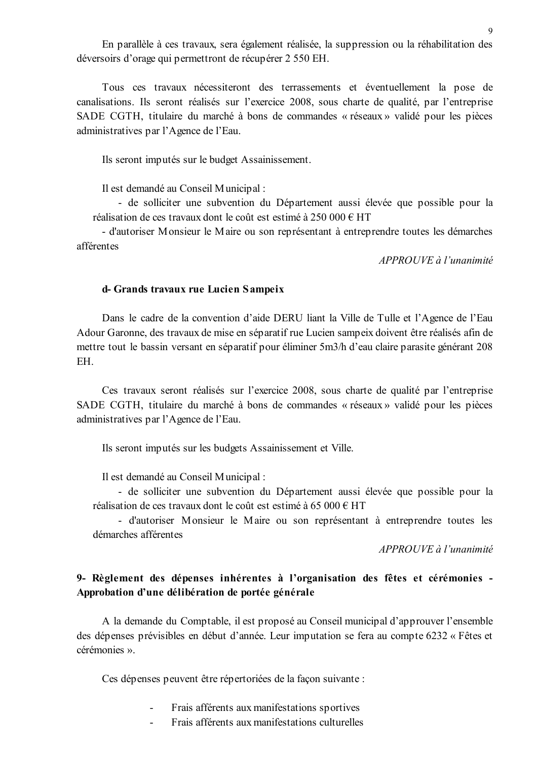En parallèle à ces travaux, sera également réalisée, la suppression ou la réhabilitation des déversoirs d'orage qui permettront de récupérer 2 550 EH.

Tous ces travaux nécessiteront des terrassements et éventuellement la pose de canalisations. Ils seront réalisés sur l'exercice 2008, sous charte de qualité, par l'entreprise SADE CGTH, titulaire du marché à bons de commandes « réseaux » validé pour les pièces administratives par l'Agence de l'Eau.

Ils seront imputés sur le budget Assainissement.

Il est demandé au Conseil Municipal :

- de solliciter une subvention du Département aussi élevée que possible pour la réalisation de ces travaux dont le coût est estimé à 250 000 € HT

- d'autoriser Monsieur le Maire ou son représentant à entreprendre toutes les démarches afférentes

APPROUVE à l'unanimité

#### d- Grands travaux rue Lucien Sampeix

Dans le cadre de la convention d'aide DERU liant la Ville de Tulle et l'Agence de l'Eau Adour Garonne, des travaux de mise en séparatif rue Lucien sampeix doivent être réalisés afin de mettre tout le bassin versant en séparatif pour éliminer 5m3/h d'eau claire parasite générant 208 EH.

Ces travaux seront réalisés sur l'exercice 2008, sous charte de qualité par l'entreprise SADE CGTH, titulaire du marché à bons de commandes « réseaux » validé pour les pièces administratives par l'Agence de l'Eau.

Ils seront imputés sur les budgets Assainissement et Ville.

Il est demandé au Conseil Municipal :

- de solliciter une subvention du Département aussi élevée que possible pour la réalisation de ces travaux dont le coût est estimé à 65 000  $\epsilon$  HT

- d'autoriser Monsieur le Maire ou son représentant à entreprendre toutes les démarches afférentes

 $APPROUVE$  à l'unanimité

# 9- Règlement des dépenses inhérentes à l'organisation des fêtes et cérémonies -Approbation d'une délibération de portée générale

A la demande du Comptable, il est proposé au Conseil municipal d'approuver l'ensemble des dépenses prévisibles en début d'année. Leur imputation se fera au compte 6232 « Fêtes et cérémonies ».

Ces dépenses peuvent être répertoriées de la façon suivante :

- Frais afférents aux manifestations sportives
- Frais afférents aux manifestations culturelles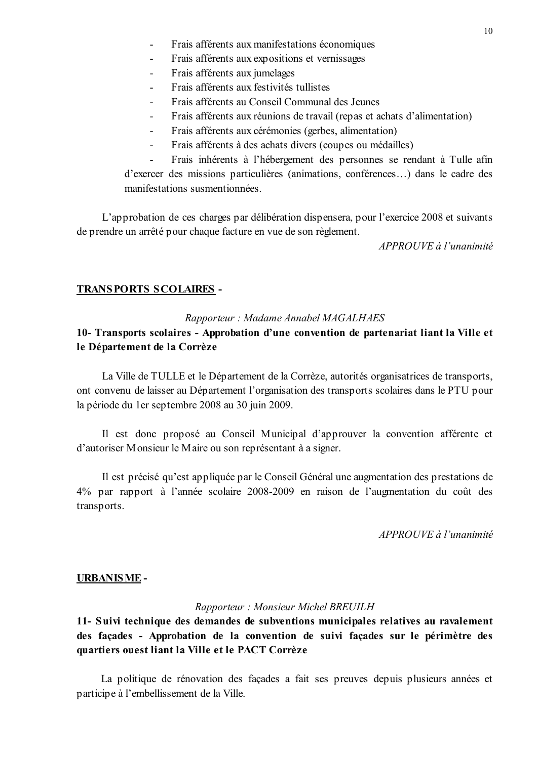- Frais afférents aux manifestations économiques
- Frais afférents aux expositions et vernissages
- Frais afférents aux jumelages  $\mathbf{r}$
- Frais afférents aux festivités tullistes  $\sim$
- Frais afférents au Conseil Communal des Jeunes
- Frais afférents aux réunions de travail (repas et achats d'alimentation)
- Frais afférents aux cérémonies (gerbes, alimentation)
- Frais afférents à des achats divers (coupes ou médailles)  $\overline{a}$

Frais inhérents à l'hébergement des personnes se rendant à Tulle afin  $\mathbf{r}$ d'exercer des missions particulières (animations, conférences...) dans le cadre des manifestations susmentionnées.

L'approbation de ces charges par délibération dispensera, pour l'exercice 2008 et suivants de prendre un arrêté pour chaque facture en vue de son règlement.

 $APPROIIVE \d{d} l'unanimit\acute{e}$ 

### **TRANSPORTS SCOLAIRES -**

### Rapporteur: Madame Annabel MAGALHAES

## 10- Transports scolaires - Approbation d'une convention de partenariat liant la Ville et le Département de la Corrèze

La Ville de TULLE et le Département de la Corrèze, autorités organisatrices de transports, ont convenu de laisser au Département l'organisation des transports scolaires dans le PTU pour la période du 1er septembre 2008 au 30 juin 2009.

Il est donc proposé au Conseil Municipal d'approuver la convention afférente et d'autoriser Monsieur le Maire ou son représentant à a signer.

Il est précisé qu'est appliquée par le Conseil Général une augmentation des prestations de 4% par rapport à l'année scolaire 2008-2009 en raison de l'augmentation du coût des transports.

 $APPROIIVE$  à l'unanimité

### **URBANISME-**

### Rapporteur: Monsieur Michel BREUILH

11- Suivi technique des demandes de subventions municipales relatives au ravalement des façades - Approbation de la convention de suivi façades sur le périmètre des quartiers ouest liant la Ville et le PACT Corrèze

La politique de rénovation des façades a fait ses preuves depuis plusieurs années et participe à l'embellissement de la Ville.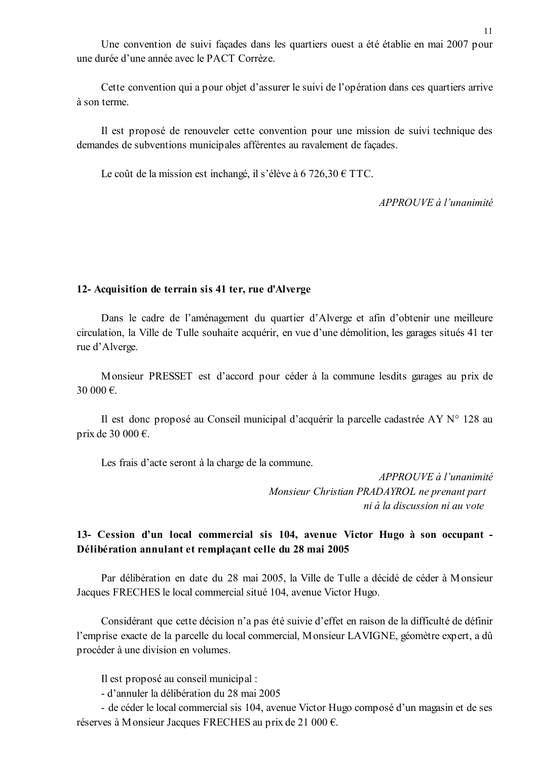Une convention de suivi façades dans les quartiers ouest a été établie en mai 2007 pour une durée d'une année avec le PACT Corrèze

Cette convention qui a pour objet d'assurer le suivi de l'opération dans ces quartiers arrive à son terme.

Il est proposé de renouveler cette convention pour une mission de suivi technique des demandes de subventions municipales afférentes au ravalement de façades.

Le coût de la mission est inchangé, il s'élève à 6 726,30 € TTC.

 $APPROUVE$  à l'unanimité

#### 12- Acquisition de terrain sis 41 ter, rue d'Alverge

Dans le cadre de l'aménagement du quartier d'Alverge et afin d'obtenir une meilleure circulation, la Ville de Tulle souhaite acquérir, en vue d'une démolition, les garages situés 41 ter rue d'Alverge.

Monsieur PRESSET est d'accord pour céder à la commune les dits garages au prix de 30 000  $\epsilon$ .

Il est donc proposé au Conseil municipal d'acquérir la parcelle cadastrée AY  $N^{\circ}$  128 au prix de 30 000  $\epsilon$ .

Les frais d'acte seront à la charge de la commune.

APPROUVE à l'unanimité Monsieur Christian PRADAYROL ne prenant part ni à la discussion ni au vote

## 13- Cession d'un local commercial sis 104, avenue Victor Hugo à son occupant -Délibération annulant et remplaçant celle du 28 mai 2005

Par délibération en date du 28 mai 2005, la Ville de Tulle a décidé de céder à Monsieur Jacques FRECHES le local commercial situé 104, avenue Victor Hugo.

Considérant que cette décision n'a pas été suivie d'effet en raison de la difficulté de définir l'emprise exacte de la parcelle du local commercial, Monsieur LAVIGNE, géomètre expert, a dû procéder à une division en volumes.

Il est proposé au conseil municipal :

- d'annuler la délibération du 28 mai 2005

- de céder le local commercial sis 104, avenue Victor Hugo composé d'un magasin et de ses réserves à Monsieur Jacques FRECHES au prix de 21 000 €.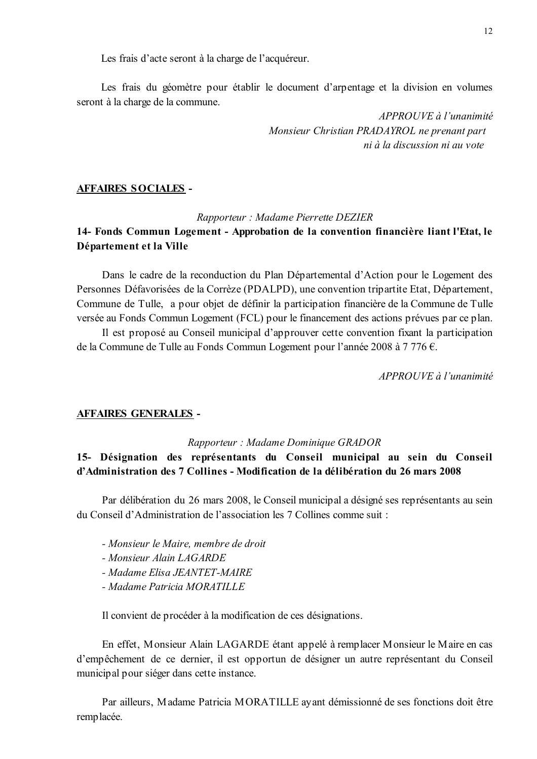Les frais d'acte seront à la charge de l'acquéreur.

Les frais du géomètre pour établir le document d'arpentage et la division en volumes seront à la charge de la commune.

> $APPROUVE\`{a} l'unanimit\`{e}$ Monsieur Christian PRADAYROL ne prenant part ni à la discussion ni au vote

#### **AFFAIRES SOCIALES -**

Rapporteur: Madame Pierrette DEZIER

## 14- Fonds Commun Logement - Approbation de la convention financière liant l'Etat, le Département et la Ville

Dans le cadre de la reconduction du Plan Départemental d'Action pour le Logement des Personnes Défavorisées de la Corrèze (PDALPD), une convention tripartite Etat, Département, Commune de Tulle, a pour objet de définir la participation financière de la Commune de Tulle versée au Fonds Commun Logement (FCL) pour le financement des actions prévues par ce plan.

Il est proposé au Conseil municipal d'approuver cette convention fixant la participation de la Commune de Tulle au Fonds Commun Logement pour l'année 2008 à 7 776 €.

APPROUVE à l'unanimité

#### **AFFAIRES GENERALES -**

#### Rapporteur: Madame Dominique GRADOR

15- Désignation des représentants du Conseil municipal au sein du Conseil d'Administration des 7 Collines - Modification de la délibération du 26 mars 2008

Par délibération du 26 mars 2008, le Conseil municipal a désigné ses représentants au sein du Conseil d'Administration de l'association les 7 Collines comme suit :

- Monsieur le Maire, membre de droit
- Monsieur Alain LAGARDE
- Madame Elisa JEANTET-MAIRE
- Madame Patricia MORATILLE

Il convient de procéder à la modification de ces désignations.

En effet, Monsieur Alain LAGARDE étant appelé à remplacer Monsieur le Maire en cas d'empêchement de ce dernier, il est opportun de désigner un autre représentant du Conseil municipal pour siéger dans cette instance.

Par ailleurs, Madame Patricia MORATILLE ayant démissionné de ses fonctions doit être remplacée.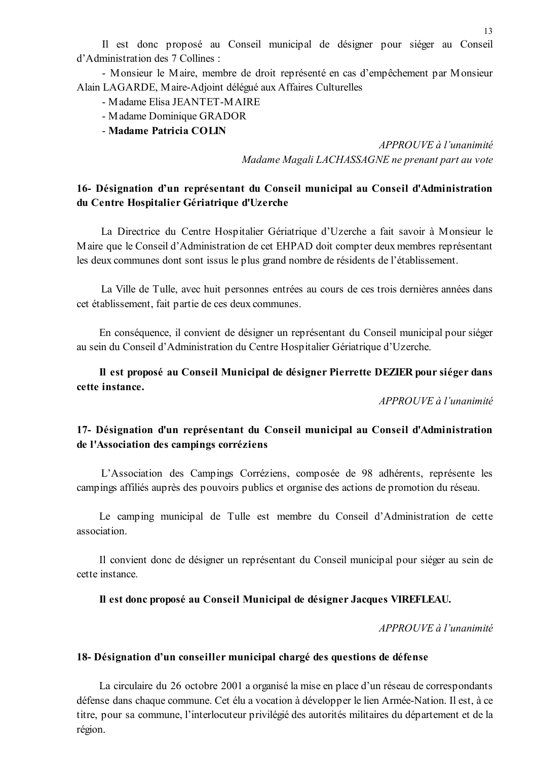Il est donc proposé au Conseil municipal de désigner pour siéger au Conseil d'Administration des 7 Collines :

- Monsieur le Maire, membre de droit représenté en cas d'empêchement par Monsieur Alain LAGARDE, Maire-Adjoint délégué aux Affaires Culturelles

- Madame Elisa JEANTET-MAIRE
- Madame Dominique GRADOR
- Madame Patricia COLIN

 $APPROUVE$  à l'unanimité Madame Magali LACHASSAGNE ne prenant part au vote

## 16- Désignation d'un représentant du Conseil municipal au Conseil d'Administration du Centre Hospitalier Gériatrique d'Uzerche

La Directrice du Centre Hospitalier Gériatrique d'Uzerche a fait savoir à Monsieur le Maire que le Conseil d'Administration de cet EHPAD doit compter deux membres représentant les deux communes dont sont issus le plus grand nombre de résidents de l'établissement.

La Ville de Tulle, avec huit personnes entrées au cours de ces trois dernières années dans cet établissement, fait partie de ces deux communes.

En conséquence, il convient de désigner un représentant du Conseil municipal pour siéger au sein du Conseil d'Administration du Centre Hospitalier Gériatrique d'Uzerche.

## Il est proposé au Conseil Municipal de désigner Pierrette DEZIER pour siéger dans cette instance.

 $APPROIIVE$  à l'unanimité

## 17- Désignation d'un représentant du Conseil municipal au Conseil d'Administration de l'Association des campings corréziens

L'Association des Campings Corréziens, composée de 98 adhérents, représente les campings affiliés auprès des pouvoirs publics et organise des actions de promotion du réseau.

Le camping municipal de Tulle est membre du Conseil d'Administration de cette association.

Il convient donc de désigner un représentant du Conseil municipal pour siéger au sein de cette instance.

#### Il est donc proposé au Conseil Municipal de désigner Jacques VIREFLEAU.

 $APPROIIVE$  à l'unanimité

#### 18- Désignation d'un conseiller municipal chargé des questions de défense

La circulaire du 26 octobre 2001 a organisé la mise en place d'un réseau de correspondants défense dans chaque commune. Cet élu a vocation à développer le lien Armée-Nation. Il est, à ce titre, pour sa commune, l'interlocuteur privilégié des autorités militaires du département et de la région.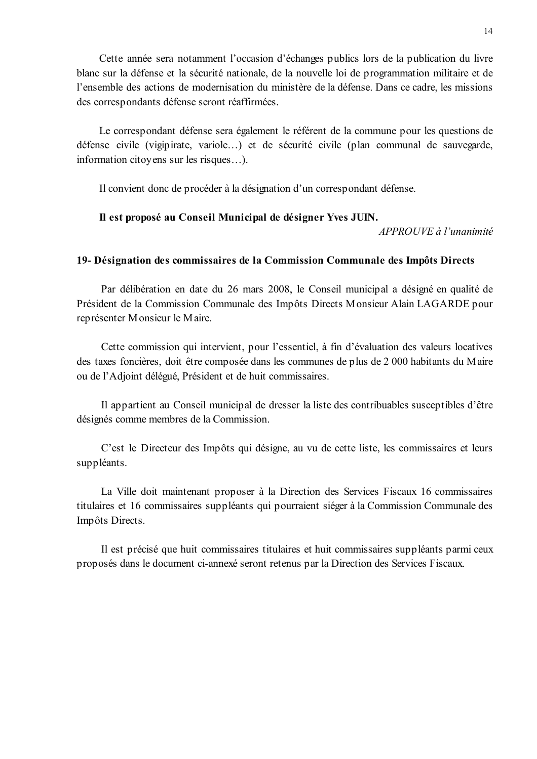Cette année sera notamment l'occasion d'échanges publics lors de la publication du livre blanc sur la défense et la sécurité nationale, de la nouvelle loi de programmation militaire et de l'ensemble des actions de modernisation du ministère de la défense. Dans ce cadre, les missions des correspondants défense seront réaffirmées.

Le correspondant défense sera également le référent de la commune pour les questions de défense civile (vigipirate, variole...) et de sécurité civile (plan communal de sauvegarde, information citoyens sur les risques...).

Il convient donc de procéder à la désignation d'un correspondant défense.

## Il est proposé au Conseil Municipal de désigner Yves JUIN.

APPROUVE à l'unanimité

### 19- Désignation des commissaires de la Commission Communale des Impôts Directs

Par délibération en date du 26 mars 2008, le Conseil municipal a désigné en qualité de Président de la Commission Communale des Impôts Directs Monsieur Alain LAGARDE pour représenter Monsieur le Maire.

Cette commission qui intervient, pour l'essentiel, à fin d'évaluation des valeurs locatives des taxes foncières, doit être composée dans les communes de plus de 2 000 habitants du Maire ou de l'Adjoint délégué, Président et de huit commissaires.

Il appartient au Conseil municipal de dresser la liste des contribuables susceptibles d'être désignés comme membres de la Commission.

C'est le Directeur des Impôts qui désigne, au vu de cette liste, les commissaires et leurs suppléants.

La Ville doit maintenant proposer à la Direction des Services Fiscaux 16 commissaires titulaires et 16 commissaires suppléants qui pourraient siéger à la Commission Communale des Impôts Directs.

Il est précisé que huit commissaires titulaires et huit commissaires suppléants parmi ceux proposés dans le document ci-annexé seront retenus par la Direction des Services Fiscaux.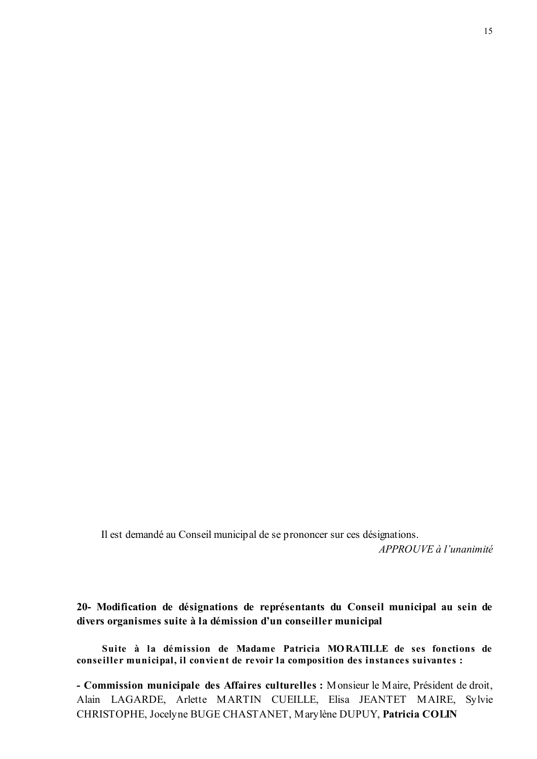Il est demandé au Conseil municipal de se prononcer sur ces désignations.

APPROUVE à l'unanimité

# 20- Modification de désignations de représentants du Conseil municipal au sein de divers organismes suite à la démission d'un conseiller municipal

Suite à la démission de Madame Patricia MORATILLE de ses fonctions de conseiller municipal, il convient de revoir la composition des instances suivantes :

<sup>-</sup> Commission municipale des Affaires culturelles : Monsieur le Maire, Président de droit, Alain LAGARDE, Arlette MARTIN CUEILLE, Elisa JEANTET MAIRE, Sylvie CHRISTOPHE, Jocelyne BUGE CHASTANET, Marylène DUPUY, Patricia COLIN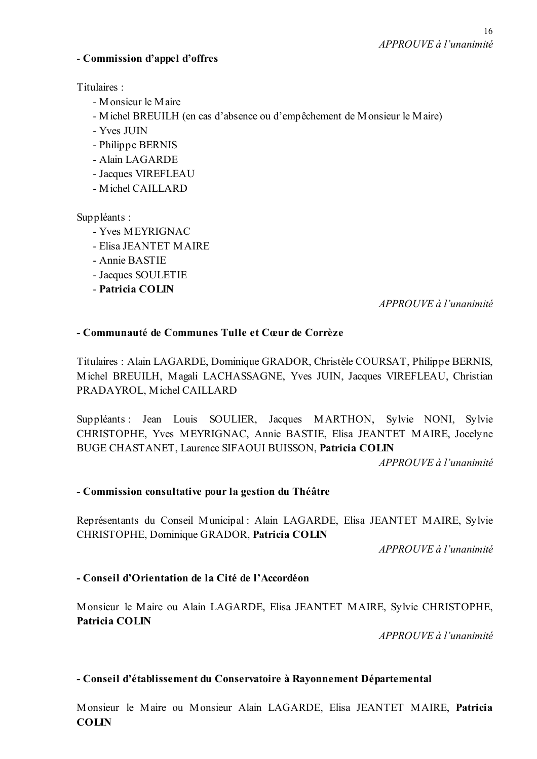## - Commission d'appel d'offres

Titulaires:

- Monsieur le Maire
- Michel BREUILH (en cas d'absence ou d'empêchement de Monsieur le Maire)
- Yves JUIN
- Philippe BERNIS
- Alain LAGARDE
- Jacques VIREFLEAU
- Michel CAILLARD

Suppléants:

- Yves MEYRIGNAC
- Elisa JEANTET MAIRE
- Annie BASTIE
- Jacques SOULETIE
- Patricia COLIN

 $APPROIIVE$  à l'unanimité

## - Communauté de Communes Tulle et Cœur de Corrèze

Titulaires: Alain LAGARDE, Dominique GRADOR, Christèle COURSAT, Philippe BERNIS, Michel BREUILH, Magali LACHASSAGNE, Yves JUIN, Jacques VIREFLEAU, Christian PRADAYROL, Michel CAILLARD

Suppléants : Jean Louis SOULIER, Jacques MARTHON, Sylvie NONI, Sylvie CHRISTOPHE, Yves MEYRIGNAC, Annie BASTIE, Elisa JEANTET MAIRE, Jocelyne BUGE CHASTANET, Laurence SIFAOUI BUISSON, Patricia COLIN

APPROUVE à l'unanimité

## - Commission consultative pour la gestion du Théâtre

Représentants du Conseil Municipal : Alain LAGARDE, Elisa JEANTET MAIRE, Sylvie CHRISTOPHE, Dominique GRADOR, Patricia COLIN

 $APPROUVE \d{d} l'unanimit\acute{e}$ 

## - Conseil d'Orientation de la Cité de l'Accordéon

Monsieur le Maire ou Alain LAGARDE, Elisa JEANTET MAIRE, Sylvie CHRISTOPHE, Patricia COLIN

APPROUVE à l'unanimité

## - Conseil d'établissement du Conservatoire à Rayonnement Départemental

Monsieur le Maire ou Monsieur Alain LAGARDE, Elisa JEANTET MAIRE, Patricia **COLIN**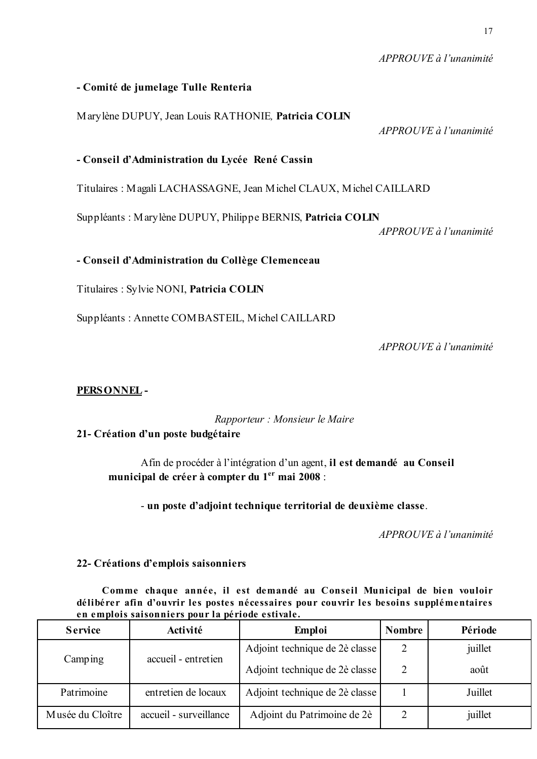### - Comité de jumelage Tulle Renteria

Marvlène DUPUY, Jean Louis RATHONIE. Patricia COLIN

APPROUVE à l'unanimité

### - Conseil d'Administration du Lycée René Cassin

Titulaires: Magali LACHASSAGNE, Jean Michel CLAUX, Michel CAILLARD

Suppléants : Marylène DUPUY, Philippe BERNIS, Patricia COLIN

APPROUVE à l'unanimité

- Conseil d'Administration du Collège Clemenceau

Titulaires : Sylvie NONI, Patricia COLIN

Suppléants: Annette COMBASTEIL, Michel CAILLARD

APPROUVE à l'unanimité

## PERSONNEL-

Rapporteur : Monsieur le Maire

### 21- Création d'un poste budgétaire

Afin de procéder à l'intégration d'un agent, il est demandé au Conseil municipal de créer à compter du 1<sup>er</sup> mai 2008 :

- un poste d'adjoint technique territorial de deuxième classe.

APPROUVE à l'unanimité

### 22- Créations d'emplois saisonniers

Comme chaque année, il est demandé au Conseil Municipal de bien vouloir délibérer afin d'ouvrir les postes nécessaires pour couvrir les besoins supplémentaires en emplois saisonniers pour la période estivale.

| <b>Service</b>   | Activité               | <b>Emploi</b>                  | <b>Nombre</b> | Période |
|------------------|------------------------|--------------------------------|---------------|---------|
| Camping          | accueil - entretien    | Adjoint technique de 2è classe | 2             | juillet |
|                  |                        | Adjoint technique de 2è classe | 2             | août    |
| Patrimoine       | entretien de locaux    | Adjoint technique de 2è classe |               | Juillet |
| Musée du Cloître | accueil - surveillance | Adjoint du Patrimoine de 2è    | 2             | juillet |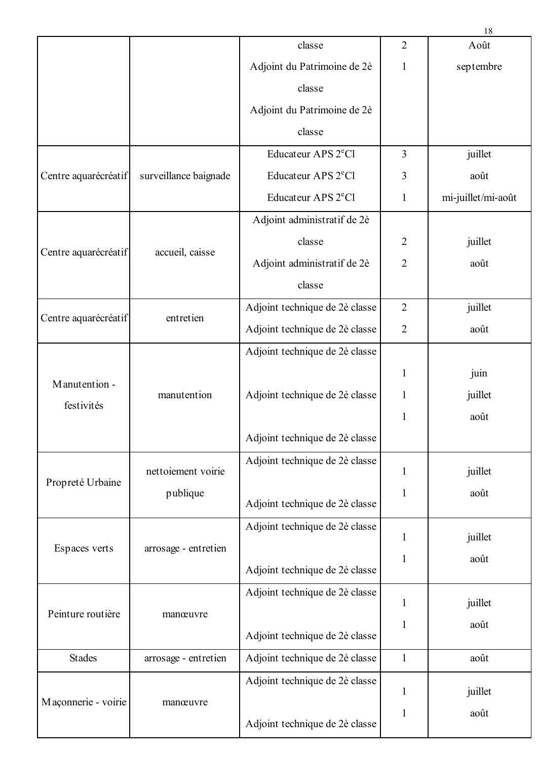|                      |                       |                                 |                | 18                 |
|----------------------|-----------------------|---------------------------------|----------------|--------------------|
|                      |                       | classe                          | $\overline{2}$ | Août               |
|                      |                       | Adjoint du Patrimoine de 2è     | $\mathbf{1}$   | septembre          |
|                      |                       | classe                          |                |                    |
|                      |                       | Adjoint du Patrimoine de 2è     |                |                    |
|                      |                       | classe                          |                |                    |
|                      |                       | Educateur APS 2 <sup>e</sup> Cl | 3              | juillet            |
| Centre aquarécréatif | surveillance baignade | Educateur APS $2^{\circ}$ Cl    | 3              | août               |
|                      |                       | Educateur APS $2^{\circ}$ Cl    | $\mathbf{1}$   | mi-juillet/mi-août |
|                      |                       | Adjoint administratif de 2è     |                |                    |
|                      | accueil, caisse       | classe                          | $\overline{2}$ | juillet            |
| Centre aquarécréatif |                       | Adjoint administratif de 2è     | $\overline{2}$ | août               |
|                      |                       | classe                          |                |                    |
| Centre aquarécréatif |                       | Adjoint technique de 2è classe  | $\overline{2}$ | juillet            |
|                      | entretien             | Adjoint technique de 2è classe  | $\overline{2}$ | août               |
|                      |                       | Adjoint technique de 2è classe  |                |                    |
|                      | manutention           |                                 | 1              | juin               |
| Manutention -        |                       | Adjoint technique de 2è classe  | 1              | juillet            |
| festivités           |                       |                                 | $\mathbf{1}$   | août               |
|                      |                       | Adjoint technique de 2è classe  |                |                    |
|                      | nettoiement voirie    | Adjoint technique de 2è classe  | 1              | juillet            |
| Propreté Urbaine     | publique              |                                 | $\mathbf{1}$   | août               |
|                      |                       | Adjoint technique de 2è classe  |                |                    |
| Espaces verts        |                       | Adjoint technique de 2è classe  | $\mathbf{1}$   | juillet            |
|                      | arrosage - entretien  |                                 | $\mathbf{1}$   | août               |
|                      |                       | Adjoint technique de 2è classe  |                |                    |
|                      |                       | Adjoint technique de 2è classe  | $\mathbf{1}$   | juillet            |
| Peinture routière    | manœuvre              |                                 | $\mathbf{1}$   | août               |
|                      |                       | Adjoint technique de 2è classe  |                |                    |
| <b>Stades</b>        | arrosage - entretien  | Adjoint technique de 2è classe  | $\mathbf{1}$   | août               |
|                      |                       | Adjoint technique de 2è classe  | 1              | juillet            |
| Maçonnerie - voirie  | manœuvre              |                                 | 1              | août               |
|                      |                       | Adjoint technique de 2è classe  |                |                    |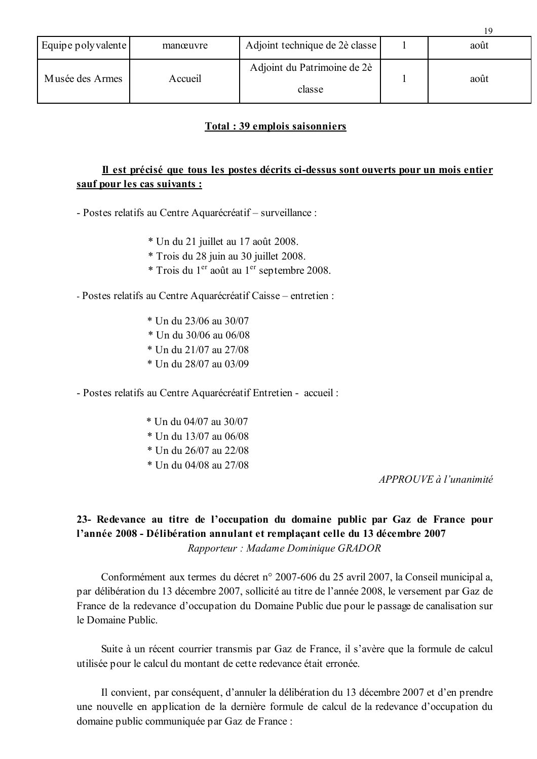| Equipe polyvalente | manœuvre | Adjoint technique de 2è classe        | août |
|--------------------|----------|---------------------------------------|------|
| Musée des Armes    | Accueil  | Adjoint du Patrimoine de 2è<br>classe | août |

### Total: 39 emplois saisonniers

# Il est précisé que tous les postes décrits ci-dessus sont ouverts pour un mois entier sauf pour les cas suivants :

- Postes relatifs au Centre Aquarécréatif – surveillance :

- \* Un du 21 juillet au 17 août 2008.
- \* Trois du 28 juin au 30 juillet 2008.
- \* Trois du 1<sup>er</sup> août au 1<sup>er</sup> septembre 2008.

- Postes relatifs au Centre Aquarécréatif Caisse – entretien :

- \* Un du 23/06 au 30/07
- \* Un du 30/06 au 06/08
- \* Un du 21/07 au 27/08
- \* Un du 28/07 au 03/09

- Postes relatifs au Centre Aquarécréatif Entretien - accueil :

- \* Un du 04/07 au 30/07
- \* Un du 13/07 au 06/08
- \* Un du 26/07 au 22/08
- \* Un du 04/08 au 27/08

APPROUVE à l'unanimité

# 23- Redevance au titre de l'occupation du domaine public par Gaz de France pour l'année 2008 - Délibération annulant et remplaçant celle du 13 décembre 2007 Rapporteur : Madame Dominique GRADOR

Conformément aux termes du décret n° 2007-606 du 25 avril 2007, la Conseil municipal a, par délibération du 13 décembre 2007, sollicité au titre de l'année 2008, le versement par Gaz de France de la redevance d'occupation du Domaine Public due pour le passage de canalisation sur le Domaine Public

Suite à un récent courrier transmis par Gaz de France, il s'avère que la formule de calcul utilisée pour le calcul du montant de cette redevance était erronée.

Il convient, par conséquent, d'annuler la délibération du 13 décembre 2007 et d'en prendre une nouvelle en application de la dernière formule de calcul de la redevance d'occupation du domaine public communiquée par Gaz de France :

 $1<sub>0</sub>$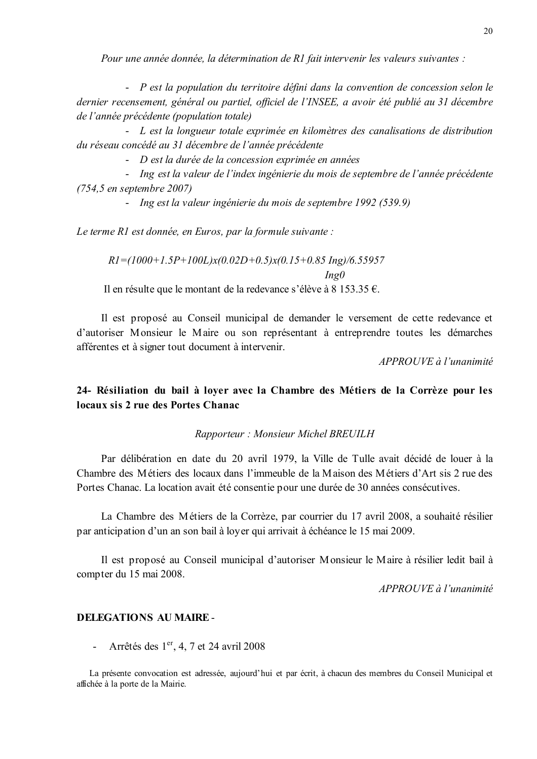Pour une année donnée, la détermination de R1 fait intervenir les valeurs suivantes :

- P est la population du territoire défini dans la convention de concession selon le dernier recensement, général ou partiel, officiel de l'INSEE, a avoir été publié au 31 décembre de l'année précédente (population totale)

- L est la longueur totale exprimée en kilomètres des canalisations de distribution du réseau concédé au 31 décembre de l'année précédente

- D est la durée de la concession exprimée en années

- Ing est la valeur de l'index ingénierie du mois de septembre de l'année précédente  $(754, 5$  en septembre 2007)

- Ing est la valeur ingénierie du mois de septembre 1992 (539.9)

Le terme R1 est donnée, en Euros, par la formule suivante :

 $RI = (1000 + 1.5P + 100L)x(0.02D + 0.5)x(0.15 + 0.85I)$ ng/6.55957  $Ing0$ Il en résulte que le montant de la redevance s'élève à 8 153.35  $\epsilon$ .

Il est proposé au Conseil municipal de demander le versement de cette redevance et d'autoriser Monsieur le Maire ou son représentant à entreprendre toutes les démarches afférentes et à signer tout document à intervenir.

 $APPROIIVE$  à l'unanimité

# 24- Résiliation du bail à loyer avec la Chambre des Métiers de la Corrèze pour les locaux sis 2 rue des Portes Chanac

#### Rapporteur: Monsieur Michel BREUILH

Par délibération en date du 20 avril 1979, la Ville de Tulle avait décidé de louer à la Chambre des Métiers des locaux dans l'immeuble de la Maison des Métiers d'Art sis 2 rue des Portes Chanac. La location avait été consentie pour une durée de 30 années consécutives.

La Chambre des Métiers de la Corrèze, par courrier du 17 avril 2008, a souhaité résilier par anticipation d'un an son bail à lover qui arrivait à échéance le 15 mai 2009.

Il est proposé au Conseil municipal d'autoriser Monsieur le Maire à résilier ledit bail à compter du 15 mai 2008.

APPROUVE à l'unanimité

#### **DELEGATIONS AU MAIRE -**

Arrêtés des 1<sup>er</sup>, 4, 7 et 24 avril 2008

La présente convocation est adressée, aujourd'hui et par écrit, à chacun des membres du Conseil Municipal et affichée à la porte de la Mairie.